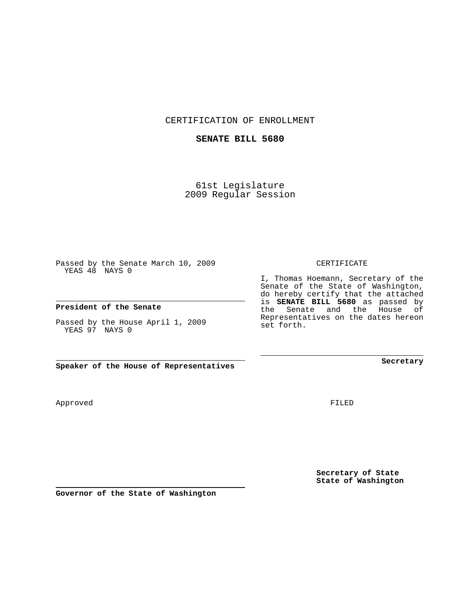CERTIFICATION OF ENROLLMENT

## **SENATE BILL 5680**

61st Legislature 2009 Regular Session

Passed by the Senate March 10, 2009 YEAS 48 NAYS 0

**President of the Senate**

Passed by the House April 1, 2009 YEAS 97 NAYS 0

**Speaker of the House of Representatives**

FILED

**Secretary**

**Secretary of State State of Washington**

CERTIFICATE

I, Thomas Hoemann, Secretary of the Senate of the State of Washington, do hereby certify that the attached is **SENATE BILL 5680** as passed by the Senate and the House of Representatives on the dates hereon set forth.

Approved

**Governor of the State of Washington**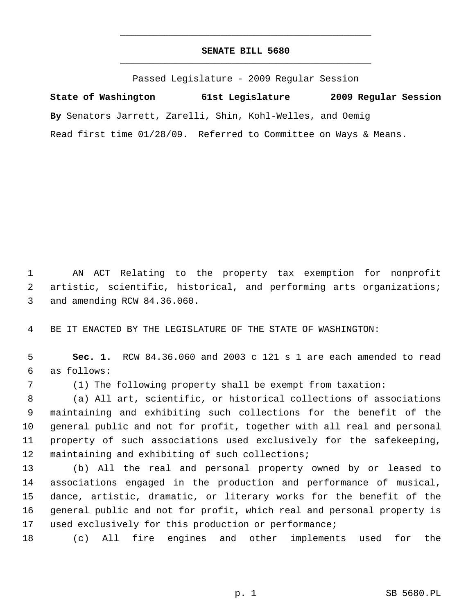## **SENATE BILL 5680** \_\_\_\_\_\_\_\_\_\_\_\_\_\_\_\_\_\_\_\_\_\_\_\_\_\_\_\_\_\_\_\_\_\_\_\_\_\_\_\_\_\_\_\_\_

\_\_\_\_\_\_\_\_\_\_\_\_\_\_\_\_\_\_\_\_\_\_\_\_\_\_\_\_\_\_\_\_\_\_\_\_\_\_\_\_\_\_\_\_\_

Passed Legislature - 2009 Regular Session

**State of Washington 61st Legislature 2009 Regular Session By** Senators Jarrett, Zarelli, Shin, Kohl-Welles, and Oemig Read first time 01/28/09. Referred to Committee on Ways & Means.

 1 AN ACT Relating to the property tax exemption for nonprofit 2 artistic, scientific, historical, and performing arts organizations; 3 and amending RCW 84.36.060.

4 BE IT ENACTED BY THE LEGISLATURE OF THE STATE OF WASHINGTON:

 5 **Sec. 1.** RCW 84.36.060 and 2003 c 121 s 1 are each amended to read 6 as follows:

7 (1) The following property shall be exempt from taxation:

 8 (a) All art, scientific, or historical collections of associations 9 maintaining and exhibiting such collections for the benefit of the 10 general public and not for profit, together with all real and personal 11 property of such associations used exclusively for the safekeeping, 12 maintaining and exhibiting of such collections;

13 (b) All the real and personal property owned by or leased to 14 associations engaged in the production and performance of musical, 15 dance, artistic, dramatic, or literary works for the benefit of the 16 general public and not for profit, which real and personal property is 17 used exclusively for this production or performance;

18 (c) All fire engines and other implements used for the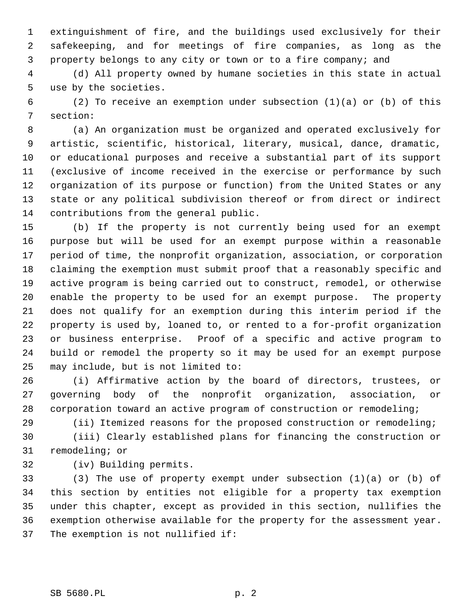1 extinguishment of fire, and the buildings used exclusively for their 2 safekeeping, and for meetings of fire companies, as long as the 3 property belongs to any city or town or to a fire company; and

 4 (d) All property owned by humane societies in this state in actual 5 use by the societies.

 6 (2) To receive an exemption under subsection (1)(a) or (b) of this 7 section:

 8 (a) An organization must be organized and operated exclusively for 9 artistic, scientific, historical, literary, musical, dance, dramatic, 10 or educational purposes and receive a substantial part of its support 11 (exclusive of income received in the exercise or performance by such 12 organization of its purpose or function) from the United States or any 13 state or any political subdivision thereof or from direct or indirect 14 contributions from the general public.

15 (b) If the property is not currently being used for an exempt 16 purpose but will be used for an exempt purpose within a reasonable 17 period of time, the nonprofit organization, association, or corporation 18 claiming the exemption must submit proof that a reasonably specific and 19 active program is being carried out to construct, remodel, or otherwise 20 enable the property to be used for an exempt purpose. The property 21 does not qualify for an exemption during this interim period if the 22 property is used by, loaned to, or rented to a for-profit organization 23 or business enterprise. Proof of a specific and active program to 24 build or remodel the property so it may be used for an exempt purpose 25 may include, but is not limited to:

26 (i) Affirmative action by the board of directors, trustees, or 27 governing body of the nonprofit organization, association, or 28 corporation toward an active program of construction or remodeling;

29 (ii) Itemized reasons for the proposed construction or remodeling;

30 (iii) Clearly established plans for financing the construction or 31 remodeling; or

32 (iv) Building permits.

33 (3) The use of property exempt under subsection (1)(a) or (b) of 34 this section by entities not eligible for a property tax exemption 35 under this chapter, except as provided in this section, nullifies the 36 exemption otherwise available for the property for the assessment year. 37 The exemption is not nullified if: